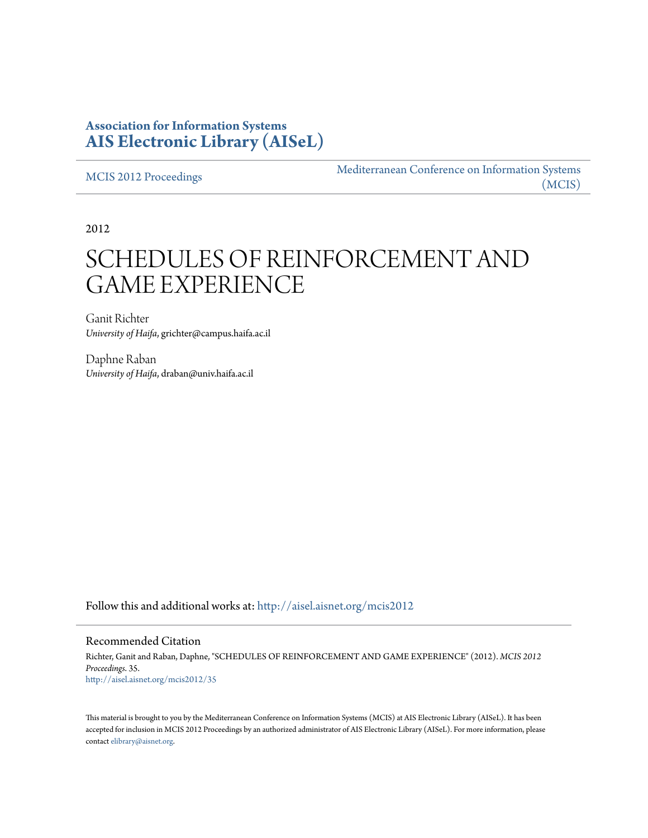## **Association for Information Systems [AIS Electronic Library \(AISeL\)](http://aisel.aisnet.org?utm_source=aisel.aisnet.org%2Fmcis2012%2F35&utm_medium=PDF&utm_campaign=PDFCoverPages)**

[MCIS 2012 Proceedings](http://aisel.aisnet.org/mcis2012?utm_source=aisel.aisnet.org%2Fmcis2012%2F35&utm_medium=PDF&utm_campaign=PDFCoverPages)

[Mediterranean Conference on Information Systems](http://aisel.aisnet.org/mcis?utm_source=aisel.aisnet.org%2Fmcis2012%2F35&utm_medium=PDF&utm_campaign=PDFCoverPages) [\(MCIS\)](http://aisel.aisnet.org/mcis?utm_source=aisel.aisnet.org%2Fmcis2012%2F35&utm_medium=PDF&utm_campaign=PDFCoverPages)

2012

# SCHEDULES OF REINFORCEMENT AND GAME EXPERIENCE

Ganit Richter *University of Haifa*, grichter@campus.haifa.ac.il

Daphne Raban *University of Haifa*, draban@univ.haifa.ac.il

Follow this and additional works at: [http://aisel.aisnet.org/mcis2012](http://aisel.aisnet.org/mcis2012?utm_source=aisel.aisnet.org%2Fmcis2012%2F35&utm_medium=PDF&utm_campaign=PDFCoverPages)

## Recommended Citation

Richter, Ganit and Raban, Daphne, "SCHEDULES OF REINFORCEMENT AND GAME EXPERIENCE" (2012). *MCIS 2012 Proceedings*. 35. [http://aisel.aisnet.org/mcis2012/35](http://aisel.aisnet.org/mcis2012/35?utm_source=aisel.aisnet.org%2Fmcis2012%2F35&utm_medium=PDF&utm_campaign=PDFCoverPages)

This material is brought to you by the Mediterranean Conference on Information Systems (MCIS) at AIS Electronic Library (AISeL). It has been accepted for inclusion in MCIS 2012 Proceedings by an authorized administrator of AIS Electronic Library (AISeL). For more information, please contact [elibrary@aisnet.org.](mailto:elibrary@aisnet.org%3E)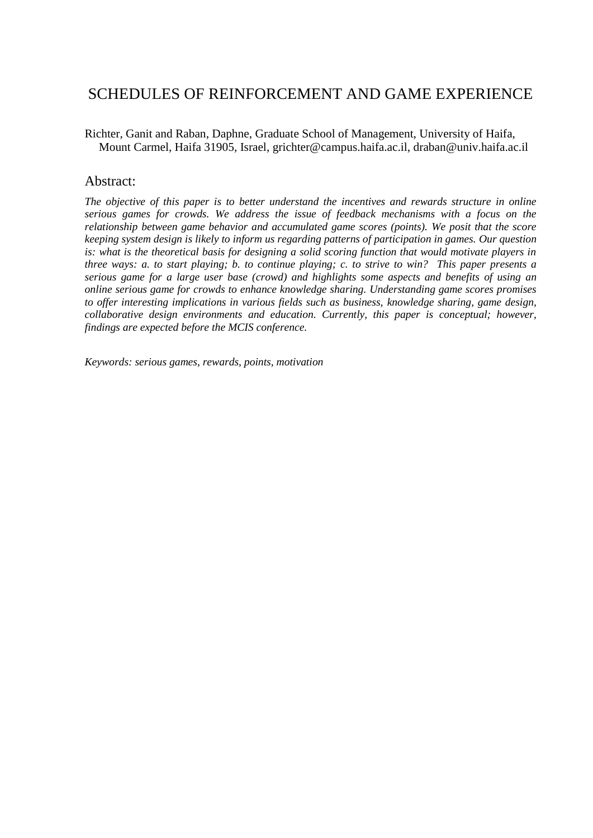# SCHEDULES OF REINFORCEMENT AND GAME EXPERIENCE

Richter, Ganit and Raban, Daphne, Graduate School of Management, University of Haifa, Mount Carmel, Haifa 31905, Israel, grichter@campus.haifa.ac.il, [draban@univ.haifa.ac.il](mailto:draban@univ.haifa.ac.il)

## Abstract:

*The objective of this paper is to better understand the incentives and rewards structure in online serious games for crowds. We address the issue of feedback mechanisms with a focus on the relationship between game behavior and accumulated game scores (points). We posit that the score keeping system design is likely to inform us regarding patterns of participation in games. Our question is: what is the theoretical basis for designing a solid scoring function that would motivate players in three ways: a. to start playing; b. to continue playing; c. to strive to win? This paper presents a serious game for a large user base (crowd) and highlights some aspects and benefits of using an online serious game for crowds to enhance knowledge sharing. Understanding game scores promises to offer interesting implications in various fields such as business, knowledge sharing, game design, collaborative design environments and education. Currently, this paper is conceptual; however, findings are expected before the MCIS conference.*

*Keywords: serious games, rewards, points, motivation*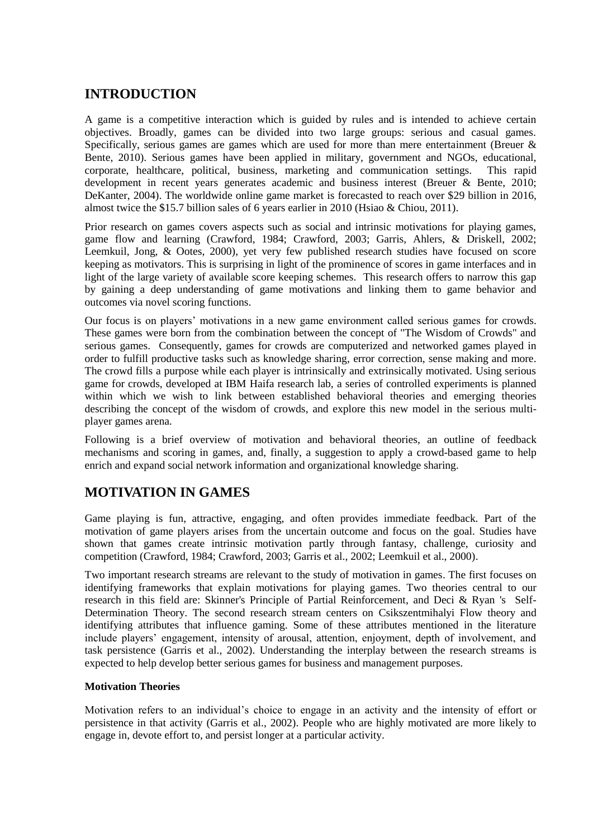# **INTRODUCTION**

A game is a competitive interaction which is guided by rules and is intended to achieve certain objectives. Broadly, games can be divided into two large groups: serious and casual games. Specifically, serious games are games which are used for more than mere entertainment (Breuer & Bente, 2010). Serious games have been applied in military, government and NGOs, educational, corporate, healthcare, political, business, marketing and communication settings. This rapid development in recent years generates academic and business interest (Breuer & Bente, 2010; DeKanter, 2004). The worldwide online game market is forecasted to reach over \$29 billion in 2016, almost twice the \$15.7 billion sales of 6 years earlier in 2010 (Hsiao & Chiou, 2011).

Prior research on games covers aspects such as social and intrinsic motivations for playing games, game flow and learning (Crawford, 1984; Crawford, 2003; Garris, Ahlers, & Driskell, 2002; Leemkuil, Jong, & Ootes, 2000), yet very few published research studies have focused on score keeping as motivators. This is surprising in light of the prominence of scores in game interfaces and in light of the large variety of available score keeping schemes. This research offers to narrow this gap by gaining a deep understanding of game motivations and linking them to game behavior and outcomes via novel scoring functions.

Our focus is on players' motivations in a new game environment called serious games for crowds. These games were born from the combination between the concept of "The Wisdom of Crowds" and serious games. Consequently, games for crowds are computerized and networked games played in order to fulfill productive tasks such as knowledge sharing, error correction, sense making and more. The crowd fills a purpose while each player is intrinsically and extrinsically motivated. Using serious game for crowds, developed at IBM Haifa research lab, a series of controlled experiments is planned within which we wish to link between established behavioral theories and emerging theories describing the concept of the wisdom of crowds, and explore this new model in the serious multiplayer games arena.

Following is a brief overview of motivation and behavioral theories, an outline of feedback mechanisms and scoring in games, and, finally, a suggestion to apply a crowd-based game to help enrich and expand social network information and organizational knowledge sharing.

## **MOTIVATION IN GAMES**

Game playing is fun, attractive, engaging, and often provides immediate feedback. Part of the motivation of game players arises from the uncertain outcome and focus on the goal. Studies have shown that games create intrinsic motivation partly through fantasy, challenge, curiosity and competition (Crawford, 1984; Crawford, 2003; Garris et al., 2002; Leemkuil et al., 2000).

Two important research streams are relevant to the study of motivation in games. The first focuses on identifying frameworks that explain motivations for playing games. Two theories central to our research in this field are: Skinner's Principle of Partial Reinforcement, and Deci & Ryan 's Self-Determination Theory. The second research stream centers on Csikszentmihalyi Flow theory and identifying attributes that influence gaming. Some of these attributes mentioned in the literature include players' engagement, intensity of arousal, attention, enjoyment, depth of involvement, and task persistence (Garris et al., 2002). Understanding the interplay between the research streams is expected to help develop better serious games for business and management purposes.

## **Motivation Theories**

Motivation refers to an individual's choice to engage in an activity and the intensity of effort or persistence in that activity (Garris et al., 2002). People who are highly motivated are more likely to engage in, devote effort to, and persist longer at a particular activity.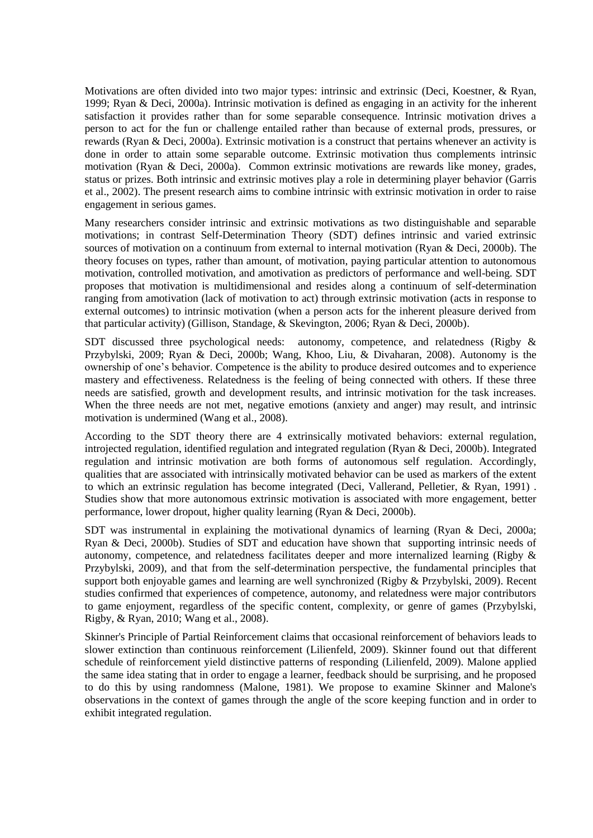Motivations are often divided into two major types: intrinsic and extrinsic (Deci, Koestner, & Ryan, 1999; Ryan & Deci, 2000a). Intrinsic motivation is defined as engaging in an activity for the inherent satisfaction it provides rather than for some separable consequence. Intrinsic motivation drives a person to act for the fun or challenge entailed rather than because of external prods, pressures, or rewards (Ryan & Deci, 2000a). Extrinsic motivation is a construct that pertains whenever an activity is done in order to attain some separable outcome. Extrinsic motivation thus complements intrinsic motivation (Ryan & Deci, 2000a). Common extrinsic motivations are rewards like money, grades, status or prizes. Both intrinsic and extrinsic motives play a role in determining player behavior (Garris et al., 2002). The present research aims to combine intrinsic with extrinsic motivation in order to raise engagement in serious games.

Many researchers consider intrinsic and extrinsic motivations as two distinguishable and separable motivations; in contrast Self-Determination Theory (SDT) defines intrinsic and varied extrinsic sources of motivation on a continuum from external to internal motivation (Ryan & Deci, 2000b). The theory focuses on types, rather than amount, of motivation, paying particular attention to autonomous motivation, controlled motivation, and amotivation as predictors of performance and well-being. SDT proposes that motivation is multidimensional and resides along a continuum of self-determination ranging from amotivation (lack of motivation to act) through extrinsic motivation (acts in response to external outcomes) to intrinsic motivation (when a person acts for the inherent pleasure derived from that particular activity) (Gillison, Standage, & Skevington, 2006; Ryan & Deci, 2000b).

SDT discussed three psychological needs: autonomy, competence, and relatedness (Rigby & Przybylski, 2009; Ryan & Deci, 2000b; Wang, Khoo, Liu, & Divaharan, 2008). Autonomy is the ownership of one's behavior. Competence is the ability to produce desired outcomes and to experience mastery and effectiveness. Relatedness is the feeling of being connected with others. If these three needs are satisfied, growth and development results, and intrinsic motivation for the task increases. When the three needs are not met, negative emotions (anxiety and anger) may result, and intrinsic motivation is undermined (Wang et al., 2008).

According to the SDT theory there are 4 extrinsically motivated behaviors: external regulation, introjected regulation, identified regulation and integrated regulation (Ryan & Deci, 2000b). Integrated regulation and intrinsic motivation are both forms of autonomous self regulation. Accordingly, qualities that are associated with intrinsically motivated behavior can be used as markers of the extent to which an extrinsic regulation has become integrated (Deci, Vallerand, Pelletier, & Ryan, 1991) . Studies show that more autonomous extrinsic motivation is associated with more engagement, better performance, lower dropout, higher quality learning (Ryan & Deci, 2000b).

SDT was instrumental in explaining the motivational dynamics of learning (Ryan & Deci, 2000a; Ryan & Deci, 2000b). Studies of SDT and education have shown that supporting intrinsic needs of autonomy, competence, and relatedness facilitates deeper and more internalized learning (Rigby & Przybylski, 2009), and that from the self-determination perspective, the fundamental principles that support both enjoyable games and learning are well synchronized (Rigby & Przybylski, 2009). Recent studies confirmed that experiences of competence, autonomy, and relatedness were major contributors to game enjoyment, regardless of the specific content, complexity, or genre of games (Przybylski, Rigby, & Ryan, 2010; Wang et al., 2008).

Skinner's Principle of Partial Reinforcement claims that occasional reinforcement of behaviors leads to slower extinction than continuous reinforcement (Lilienfeld, 2009). Skinner found out that different schedule of reinforcement yield distinctive patterns of responding (Lilienfeld, 2009). Malone applied the same idea stating that in order to engage a learner, feedback should be surprising, and he proposed to do this by using randomness (Malone, 1981). We propose to examine Skinner and Malone's observations in the context of games through the angle of the score keeping function and in order to exhibit integrated regulation.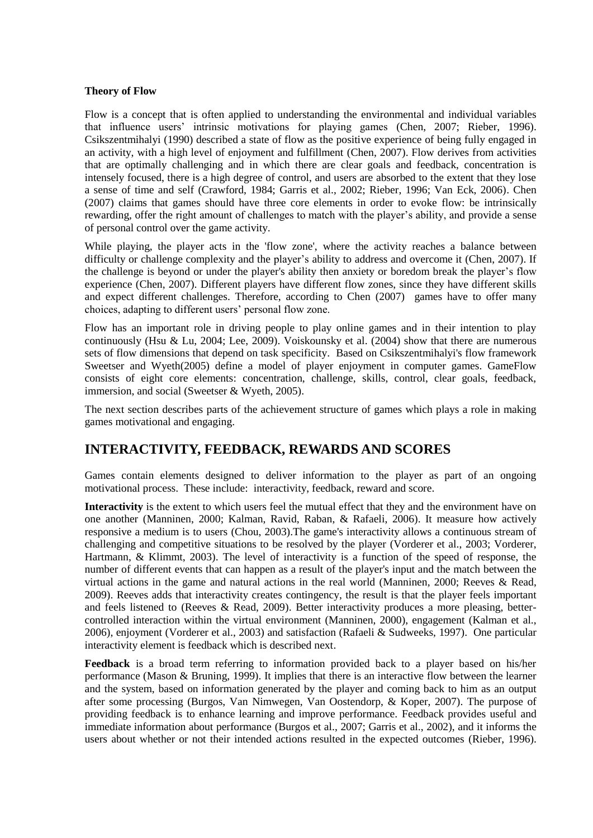#### **Theory of Flow**

Flow is a concept that is often applied to understanding the environmental and individual variables that influence users' intrinsic motivations for playing games (Chen, 2007; Rieber, 1996). Csikszentmihalyi (1990) described a state of flow as the positive experience of being fully engaged in an activity, with a high level of enjoyment and fulfillment (Chen, 2007). Flow derives from activities that are optimally challenging and in which there are clear goals and feedback, concentration is intensely focused, there is a high degree of control, and users are absorbed to the extent that they lose a sense of time and self (Crawford, 1984; Garris et al., 2002; Rieber, 1996; Van Eck, 2006). Chen (2007) claims that games should have three core elements in order to evoke flow: be intrinsically rewarding, offer the right amount of challenges to match with the player's ability, and provide a sense of personal control over the game activity.

While playing, the player acts in the 'flow zone', where the activity reaches a balance between difficulty or challenge complexity and the player's ability to address and overcome it (Chen, 2007). If the challenge is beyond or under the player's ability then anxiety or boredom break the player's flow experience (Chen, 2007). Different players have different flow zones, since they have different skills and expect different challenges. Therefore, according to Chen (2007) games have to offer many choices, adapting to different users' personal flow zone.

Flow has an important role in driving people to play online games and in their intention to play continuously (Hsu & Lu, 2004; Lee, 2009). Voiskounsky et al. (2004) show that there are numerous sets of flow dimensions that depend on task specificity. Based on Csikszentmihalyi's flow framework Sweetser and Wyeth(2005) define a model of player enjoyment in computer games. GameFlow consists of eight core elements: concentration, challenge, skills, control, clear goals, feedback, immersion, and social (Sweetser & Wyeth, 2005).

The next section describes parts of the achievement structure of games which plays a role in making games motivational and engaging.

## <span id="page-4-0"></span>**INTERACTIVITY, FEEDBACK, [REWARDS AND SCORES](#page-4-0)**

Games contain elements designed to deliver information to the player as part of an ongoing motivational process. These include: interactivity, feedback, reward and score.

**Interactivity** is the extent to which users feel the mutual effect that they and the environment have on one another (Manninen, 2000; Kalman, Ravid, Raban, & Rafaeli, 2006). It measure how actively responsive a medium is to users (Chou, 2003).The game's interactivity allows a continuous stream of challenging and competitive situations to be resolved by the player (Vorderer et al., 2003; Vorderer, Hartmann, & Klimmt, 2003). The level of interactivity is a function of the speed of response, the number of different events that can happen as a result of the player's input and the match between the virtual actions in the game and natural actions in the real world (Manninen, 2000; Reeves & Read, 2009). Reeves adds that interactivity creates contingency, the result is that the player feels important and feels listened to (Reeves & Read, 2009). Better interactivity produces a more pleasing, bettercontrolled interaction within the virtual environment (Manninen, 2000), engagement (Kalman et al., 2006), enjoyment (Vorderer et al., 2003) and satisfaction (Rafaeli & Sudweeks, 1997). One particular interactivity element is feedback which is described next.

**Feedback** is a broad term referring to information provided back to a player based on his/her performance (Mason & Bruning, 1999). It implies that there is an interactive flow between the learner and the system, based on information generated by the player and coming back to him as an output after some processing (Burgos, Van Nimwegen, Van Oostendorp, & Koper, 2007). The purpose of providing feedback is to enhance learning and improve performance. Feedback provides useful and immediate information about performance (Burgos et al., 2007; Garris et al., 2002), and it informs the users about whether or not their intended actions resulted in the expected outcomes (Rieber, 1996).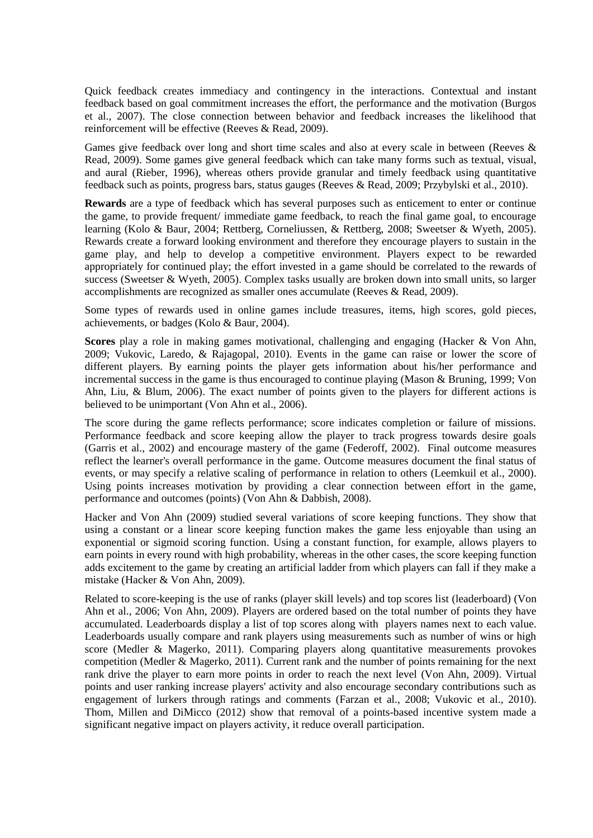Quick feedback creates immediacy and contingency in the interactions. Contextual and instant feedback based on goal commitment increases the effort, the performance and the motivation (Burgos et al., 2007). The close connection between behavior and feedback increases the likelihood that reinforcement will be effective (Reeves & Read, 2009).

Games give feedback over long and short time scales and also at every scale in between (Reeves & Read, 2009). Some games give general feedback which can take many forms such as textual, visual, and aural (Rieber, 1996), whereas others provide granular and timely feedback using quantitative feedback such as points, progress bars, status gauges (Reeves & Read, 2009; Przybylski et al., 2010).

**Rewards** are a type of feedback which has several purposes such as enticement to enter or continue the game, to provide frequent/ immediate game feedback, to reach the final game goal, to encourage learning (Kolo & Baur, 2004; Rettberg, Corneliussen, & Rettberg, 2008; Sweetser & Wyeth, 2005). Rewards create a forward looking environment and therefore they encourage players to sustain in the game play, and help to develop a competitive environment. Players expect to be rewarded appropriately for continued play; the effort invested in a game should be correlated to the rewards of success (Sweetser & Wyeth, 2005). Complex tasks usually are broken down into small units, so larger accomplishments are recognized as smaller ones accumulate (Reeves & Read, 2009).

Some types of rewards used in online games include treasures, items, high scores, gold pieces, achievements, or badges (Kolo & Baur, 2004).

**Scores** play a role in making games motivational, challenging and engaging (Hacker & Von Ahn, 2009; Vukovic, Laredo, & Rajagopal, 2010). Events in the game can raise or lower the score of different players. By earning points the player gets information about his/her performance and incremental success in the game is thus encouraged to continue playing (Mason & Bruning, 1999; Von Ahn, Liu, & Blum, 2006). The exact number of points given to the players for different actions is believed to be unimportant (Von Ahn et al., 2006).

The score during the game reflects performance; score indicates completion or failure of missions. Performance feedback and score keeping allow the player to track progress towards desire goals (Garris et al., 2002) and encourage mastery of the game (Federoff, 2002). Final outcome measures reflect the learner's overall performance in the game. Outcome measures document the final status of events, or may specify a relative scaling of performance in relation to others (Leemkuil et al., 2000). Using points increases motivation by providing a clear connection between effort in the game, performance and outcomes (points) (Von Ahn & Dabbish, 2008).

Hacker and Von Ahn (2009) studied several variations of score keeping functions. They show that using a constant or a linear score keeping function makes the game less enjoyable than using an exponential or sigmoid scoring function. Using a constant function, for example, allows players to earn points in every round with high probability, whereas in the other cases, the score keeping function adds excitement to the game by creating an artificial ladder from which players can fall if they make a mistake (Hacker & Von Ahn, 2009).

Related to score-keeping is the use of ranks (player skill levels) and top scores list (leaderboard) (Von Ahn et al., 2006; Von Ahn, 2009). Players are ordered based on the total number of points they have accumulated. Leaderboards display a list of top scores along with players names next to each value. Leaderboards usually compare and rank players using measurements such as number of wins or high score (Medler & Magerko, 2011). Comparing players along quantitative measurements provokes competition (Medler & Magerko, 2011). Current rank and the number of points remaining for the next rank drive the player to earn more points in order to reach the next level (Von Ahn, 2009). Virtual points and user ranking increase players' activity and also encourage secondary contributions such as engagement of lurkers through ratings and comments (Farzan et al., 2008; Vukovic et al., 2010). Thom, Millen and DiMicco (2012) show that removal of a points-based incentive system made a significant negative impact on players activity, it reduce overall participation.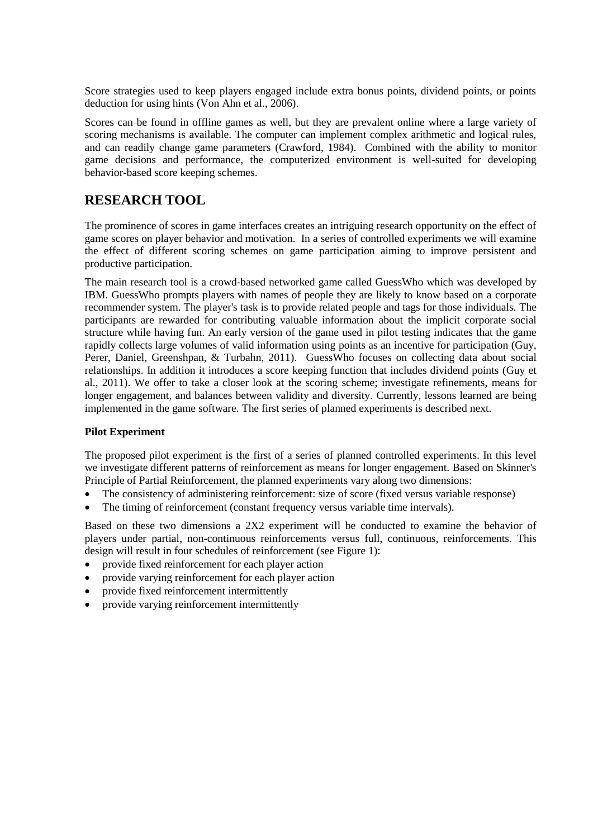Score strategies used to keep players engaged include extra bonus points, dividend points, or points deduction for using hints (Von Ahn et al., 2006).

Scores can be found in offline games as well, but they are prevalent online where a large variety of scoring mechanisms is available. The computer can implement complex arithmetic and logical rules, and can readily change game parameters (Crawford, 1984). Combined with the ability to monitor game decisions and performance, the computerized environment is well-suited for developing behavior-based score keeping schemes.

## **RESEARCH TOOL**

The prominence of scores in game interfaces creates an intriguing research opportunity on the effect of game scores on player behavior and motivation. In a series of controlled experiments we will examine the effect of different scoring schemes on game participation aiming to improve persistent and productive participation.

The main research tool is a crowd-based networked game called GuessWho which was developed by IBM. GuessWho prompts players with names of people they are likely to know based on a corporate recommender system. The player's task is to provide related people and tags for those individuals. The participants are rewarded for contributing valuable information about the implicit corporate social structure while having fun. An early version of the game used in pilot testing indicates that the game rapidly collects large volumes of valid information using points as an incentive for participation (Guy, Perer, Daniel, Greenshpan, & Turbahn, 2011). GuessWho focuses on collecting data about social relationships. In addition it introduces a score keeping function that includes dividend points (Guy et al., 2011). We offer to take a closer look at the scoring scheme; investigate refinements, means for longer engagement, and balances between validity and diversity. Currently, lessons learned are being implemented in the game software. The first series of planned experiments is described next.

## **Pilot Experiment**

The proposed pilot experiment is the first of a series of planned controlled experiments. In this level we investigate different patterns of reinforcement as means for longer engagement. Based on Skinner's Principle of Partial Reinforcement, the planned experiments vary along two dimensions:

- The consistency of administering reinforcement: size of score (fixed versus variable response)
- The timing of reinforcement (constant frequency versus variable time intervals).

Based on these two dimensions a 2X2 experiment will be conducted to examine the behavior of players under partial, non-continuous reinforcements versus full, continuous, reinforcements. This design will result in four schedules of reinforcement (see Figure 1):

- provide fixed reinforcement for each player action
- provide varying reinforcement for each player action
- provide fixed reinforcement intermittently
- provide varying reinforcement intermittently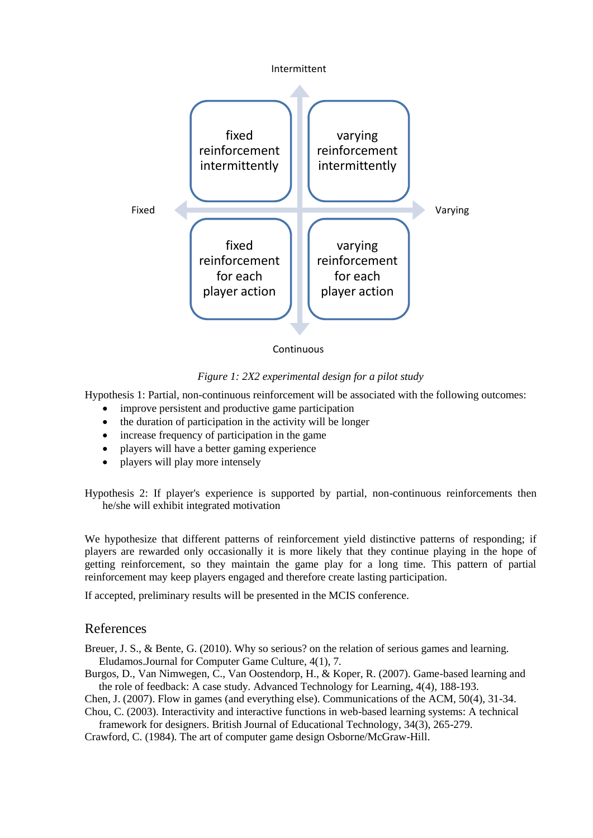

**Continuous** 

#### *Figure 1: 2X2 experimental design for a pilot study*

Hypothesis 1: Partial, non-continuous reinforcement will be associated with the following outcomes:

- improve persistent and productive game participation
- the duration of participation in the activity will be longer
- increase frequency of participation in the game
- players will have a better gaming experience
- players will play more intensely

Hypothesis 2: If player's experience is supported by partial, non-continuous reinforcements then he/she will exhibit integrated motivation

We hypothesize that different patterns of reinforcement yield distinctive patterns of responding; if players are rewarded only occasionally it is more likely that they continue playing in the hope of getting reinforcement, so they maintain the game play for a long time. This pattern of partial reinforcement may keep players engaged and therefore create lasting participation.

If accepted, preliminary results will be presented in the MCIS conference.

#### References

Breuer, J. S., & Bente, G. (2010). Why so serious? on the relation of serious games and learning. Eludamos.Journal for Computer Game Culture, 4(1), 7.

Burgos, D., Van Nimwegen, C., Van Oostendorp, H., & Koper, R. (2007). Game-based learning and the role of feedback: A case study. Advanced Technology for Learning, 4(4), 188-193.

Chen, J. (2007). Flow in games (and everything else). Communications of the ACM, 50(4), 31-34. Chou, C. (2003). Interactivity and interactive functions in web-based learning systems: A technical

framework for designers. British Journal of Educational Technology, 34(3), 265-279.

Crawford, C. (1984). The art of computer game design Osborne/McGraw-Hill.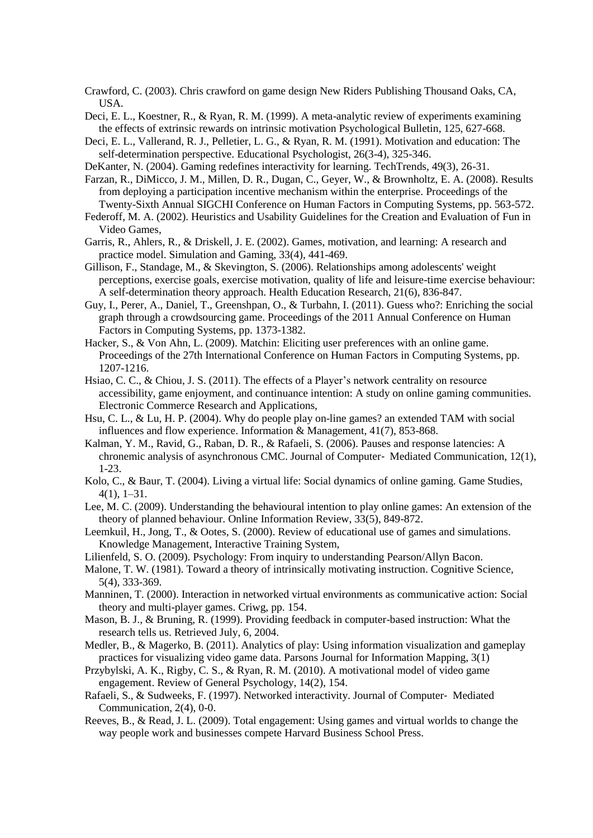Crawford, C. (2003). Chris crawford on game design New Riders Publishing Thousand Oaks, CA, USA.

Deci, E. L., Koestner, R., & Ryan, R. M. (1999). A meta-analytic review of experiments examining the effects of extrinsic rewards on intrinsic motivation Psychological Bulletin, 125, 627-668.

- Deci, E. L., Vallerand, R. J., Pelletier, L. G., & Ryan, R. M. (1991). Motivation and education: The self-determination perspective. Educational Psychologist, 26(3-4), 325-346.
- DeKanter, N. (2004). Gaming redefines interactivity for learning. TechTrends, 49(3), 26-31.

Farzan, R., DiMicco, J. M., Millen, D. R., Dugan, C., Geyer, W., & Brownholtz, E. A. (2008). Results from deploying a participation incentive mechanism within the enterprise. Proceedings of the Twenty-Sixth Annual SIGCHI Conference on Human Factors in Computing Systems, pp. 563-572.

Federoff, M. A. (2002). Heuristics and Usability Guidelines for the Creation and Evaluation of Fun in Video Games,

Garris, R., Ahlers, R., & Driskell, J. E. (2002). Games, motivation, and learning: A research and practice model. Simulation and Gaming, 33(4), 441-469.

Gillison, F., Standage, M., & Skevington, S. (2006). Relationships among adolescents' weight perceptions, exercise goals, exercise motivation, quality of life and leisure-time exercise behaviour: A self-determination theory approach. Health Education Research, 21(6), 836-847.

Guy, I., Perer, A., Daniel, T., Greenshpan, O., & Turbahn, I. (2011). Guess who?: Enriching the social graph through a crowdsourcing game. Proceedings of the 2011 Annual Conference on Human Factors in Computing Systems, pp. 1373-1382.

Hacker, S., & Von Ahn, L. (2009). Matchin: Eliciting user preferences with an online game. Proceedings of the 27th International Conference on Human Factors in Computing Systems, pp. 1207-1216.

Hsiao, C. C., & Chiou, J. S. (2011). The effects of a Player's network centrality on resource accessibility, game enjoyment, and continuance intention: A study on online gaming communities. Electronic Commerce Research and Applications,

Hsu, C. L., & Lu, H. P. (2004). Why do people play on-line games? an extended TAM with social influences and flow experience. Information & Management, 41(7), 853-868.

Kalman, Y. M., Ravid, G., Raban, D. R., & Rafaeli, S. (2006). Pauses and response latencies: A chronemic analysis of asynchronous CMC. Journal of Computer‐ Mediated Communication, 12(1), 1-23.

Kolo, C., & Baur, T. (2004). Living a virtual life: Social dynamics of online gaming. Game Studies, 4(1), 1–31.

Lee, M. C. (2009). Understanding the behavioural intention to play online games: An extension of the theory of planned behaviour. Online Information Review, 33(5), 849-872.

Leemkuil, H., Jong, T., & Ootes, S. (2000). Review of educational use of games and simulations. Knowledge Management, Interactive Training System,

Lilienfeld, S. O. (2009). Psychology: From inquiry to understanding Pearson/Allyn Bacon.

Malone, T. W. (1981). Toward a theory of intrinsically motivating instruction. Cognitive Science, 5(4), 333-369.

Manninen, T. (2000). Interaction in networked virtual environments as communicative action: Social theory and multi-player games. Criwg, pp. 154.

Mason, B. J., & Bruning, R. (1999). Providing feedback in computer-based instruction: What the research tells us. Retrieved July, 6, 2004.

Medler, B., & Magerko, B. (2011). Analytics of play: Using information visualization and gameplay practices for visualizing video game data. Parsons Journal for Information Mapping, 3(1)

Przybylski, A. K., Rigby, C. S., & Ryan, R. M. (2010). A motivational model of video game engagement. Review of General Psychology, 14(2), 154.

Rafaeli, S., & Sudweeks, F. (1997). Networked interactivity. Journal of Computer‐ Mediated Communication, 2(4), 0-0.

Reeves, B., & Read, J. L. (2009). Total engagement: Using games and virtual worlds to change the way people work and businesses compete Harvard Business School Press.